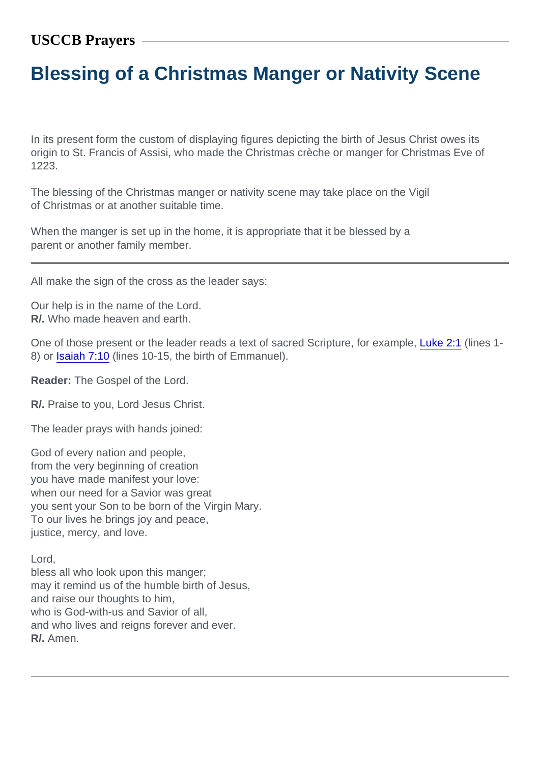## Blessing of a Christmas Manger or Nativity Scene

In its present form the custom of displaying figures depicting the birth of Jesus Christ owes its origin to St. Francis of Assisi, who made the Christmas crèche or manger for Christmas Eve of 1223.

The blessing of the Christmas manger or nativity scene may take place on the Vigil of Christmas or at another suitable time.

When the manger is set up in the home, it is appropriate that it be blessed by a parent or another family member.

All make the sign of the cross as the leader says:

Our help is in the name of the Lord. R/. Who made heaven and earth.

One of those present or the leader reads a text of sacred Scripture, for example, [Luke 2:1](https://www.usccb.org/bible/Luke2:1) (lines 1- 8) or [Isaiah 7:10](https://www.usccb.org/bible/Isaiah7:10) (lines 10-15, the birth of Emmanuel).

Reader: The Gospel of the Lord.

R/. Praise to you, Lord Jesus Christ.

The leader prays with hands joined:

God of every nation and people, from the very beginning of creation you have made manifest your love: when our need for a Savior was great you sent your Son to be born of the Virgin Mary. To our lives he brings joy and peace, justice, mercy, and love.

Lord,

bless all who look upon this manger; may it remind us of the humble birth of Jesus, and raise our thoughts to him, who is God-with-us and Savior of all. and who lives and reigns forever and ever. R/. Amen.